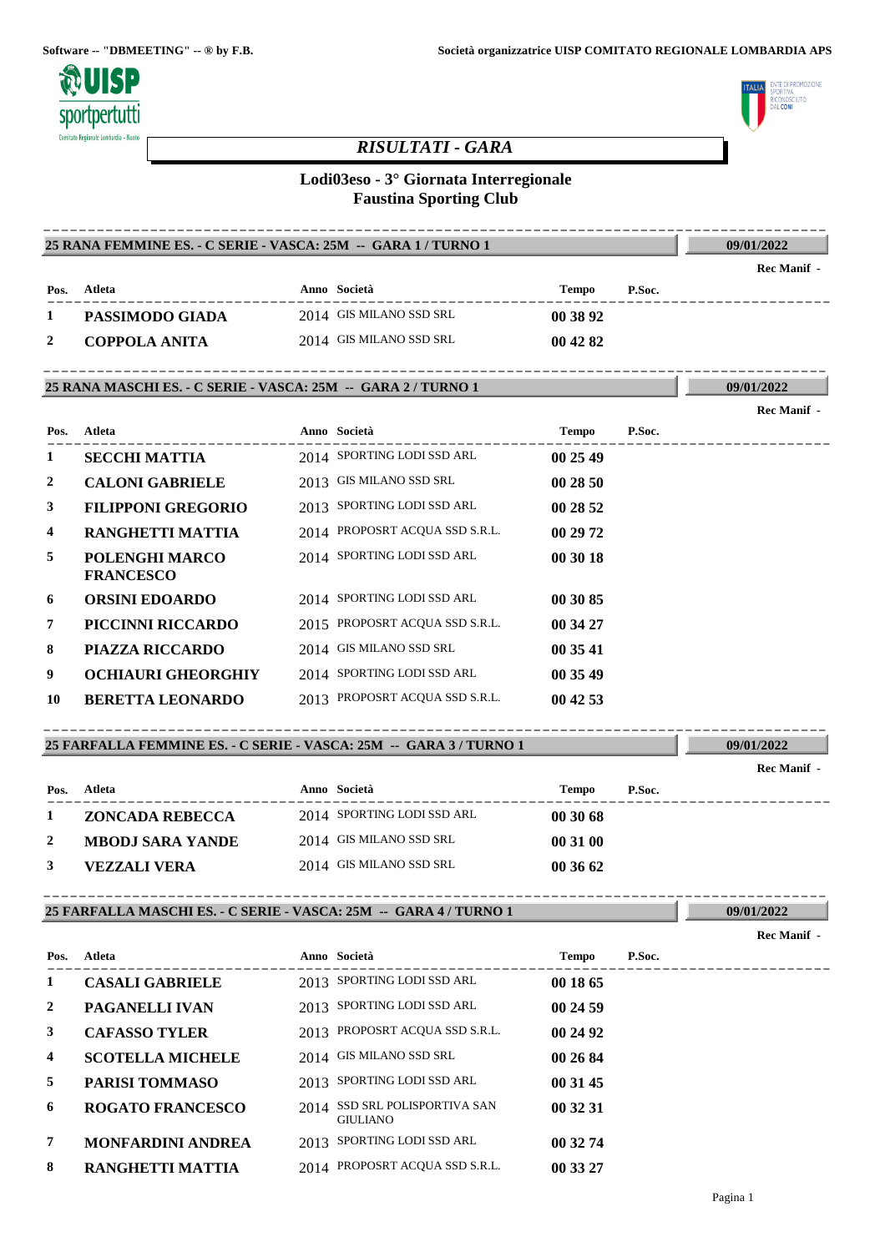

# **LITO** uunusi<br>Ne**coni**

**09/01/2022**

**09/01/2022**

**09/01/2022**

**09/01/2022**

# *RISULTATI - GARA*

# **Lodi03eso - 3° Giornata Interregionale Faustina Sporting Club**

#### **25 RANA FEMMINE ES. - C SERIE - VASCA: 25M -- GARA 1 / TURNO 1** ----------------------------------------------------------------------------------------

|      |                 |                         |          |        | Rec Manif - |
|------|-----------------|-------------------------|----------|--------|-------------|
| Pos. | Atleta          | Anno Società            | Tempo    | P.Soc. |             |
|      | PASSIMODO GIADA | 2014 GIS MILANO SSD SRL | 00 38 92 |        |             |
|      | COPPOLA ANITA   | 2014 GIS MILANO SSD SRL | 00 42 82 |        |             |

## **25 RANA MASCHI ES. - C SERIE - VASCA: 25M -- GARA 2 / TURNO 1** ----------------------------------------------------------------------------------------

|                |                                    |                                |          |        | <b>Rec Manif</b> - |
|----------------|------------------------------------|--------------------------------|----------|--------|--------------------|
| Pos.           | Atleta                             | Anno Società                   | Tempo    | P.Soc. |                    |
| 1              | <b>SECCHI MATTIA</b>               | 2014 SPORTING LODI SSD ARL     | 00 25 49 |        |                    |
| $\overline{2}$ | <b>CALONI GABRIELE</b>             | 2013 GIS MILANO SSD SRL        | 002850   |        |                    |
| 3              | <b>FILIPPONI GREGORIO</b>          | 2013 SPORTING LODI SSD ARL     | 00 28 52 |        |                    |
| $\overline{4}$ | RANGHETTI MATTIA                   | 2014 PROPOSRT ACQUA SSD S.R.L. | 00 29 72 |        |                    |
| 5              | POLENGHI MARCO<br><b>FRANCESCO</b> | 2014 SPORTING LODI SSD ARL     | 00 30 18 |        |                    |
| 6              | <b>ORSINI EDOARDO</b>              | 2014 SPORTING LODI SSD ARL     | 00 30 85 |        |                    |
| 7              | PICCINNI RICCARDO                  | 2015 PROPOSRT ACQUA SSD S.R.L. | 00 34 27 |        |                    |
| 8              | <b>PIAZZA RICCARDO</b>             | 2014 GIS MILANO SSD SRL        | 00 35 41 |        |                    |
| 9              | <b>OCHIAURI GHEORGHIY</b>          | 2014 SPORTING LODI SSD ARL     | 00 35 49 |        |                    |
| 10             | <b>BERETTA LEONARDO</b>            | 2013 PROPOSRT ACQUA SSD S.R.L. | 004253   |        |                    |

# **25 FARFALLA FEMMINE ES. - C SERIE - VASCA: 25M -- GARA 3 / TURNO 1** ----------------------------------------------------------------------------------------

|              |                         |                            |              |        | Rec Manif - |
|--------------|-------------------------|----------------------------|--------------|--------|-------------|
| Pos.         | Atleta                  | Anno Società               | <b>Tempo</b> | P.Soc. |             |
|              | ZONCADA REBECCA         | 2014 SPORTING LODI SSD ARL | 003068       |        |             |
| <sup>2</sup> | <b>MBODJ SARA YANDE</b> | 2014 GIS MILANO SSD SRL    | 00 31 00     |        |             |
|              | VEZZALI VERA            | 2014 GIS MILANO SSD SRL    | 00 36 62     |        |             |

# **25 FARFALLA MASCHI ES. - C SERIE - VASCA: 25M -- GARA 4 / TURNO 1** ----------------------------------------------------------------------------------------

|                |                          |                                                  |          |        | Rec Manif - |
|----------------|--------------------------|--------------------------------------------------|----------|--------|-------------|
| Pos.           | Atleta                   | Anno Società                                     | Tempo    | P.Soc. |             |
| 1              | <b>CASALI GABRIELE</b>   | 2013 SPORTING LODI SSD ARL                       | 00 18 65 |        |             |
| 2              | <b>PAGANELLI IVAN</b>    | 2013 SPORTING LODI SSD ARL                       | 00 24 59 |        |             |
| 3              | <b>CAFASSO TYLER</b>     | 2013 PROPOSRT ACQUA SSD S.R.L.                   | 00 24 92 |        |             |
| $\overline{4}$ | <b>SCOTELLA MICHELE</b>  | 2014 GIS MILANO SSD SRL                          | 00 26 84 |        |             |
| 5              | <b>PARISI TOMMASO</b>    | 2013 SPORTING LODI SSD ARL                       | 00 31 45 |        |             |
| 6              | <b>ROGATO FRANCESCO</b>  | 2014 SSD SRL POLISPORTIVA SAN<br><b>GIULIANO</b> | 00 32 31 |        |             |
| 7              | <b>MONFARDINI ANDREA</b> | 2013 SPORTING LODI SSD ARL                       | 00 32 74 |        |             |
| 8              | <b>RANGHETTI MATTIA</b>  | 2014 PROPOSRT ACQUA SSD S.R.L.                   | 00 33 27 |        |             |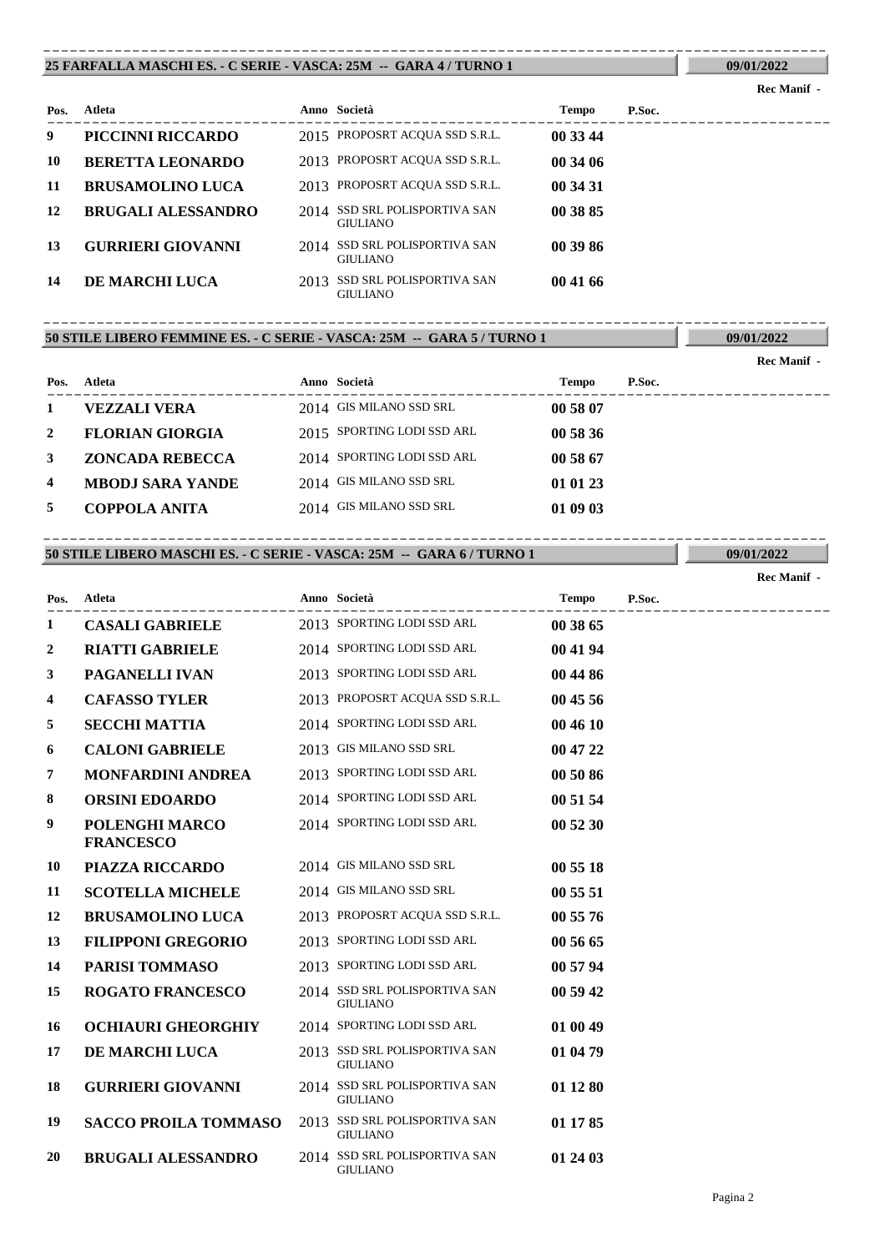#### **25 FARFALLA MASCHI ES. - C SERIE - VASCA: 25M -- GARA 4 / TURNO 1** ----------------------------------------------------------------------------------------

**09/01/2022**

| Pos. | Atleta                    |      | Anno Società                                     | <b>Tempo</b> | P.Soc. |
|------|---------------------------|------|--------------------------------------------------|--------------|--------|
| 9    | PICCINNI RICCARDO         |      | 2015 PROPOSRT ACQUA SSD S.R.L.                   | 00 33 44     |        |
| 10   | <b>BERETTA LEONARDO</b>   |      | 2013 PROPOSRT ACQUA SSD S.R.L.                   | 00 34 06     |        |
| 11   | <b>BRUSAMOLINO LUCA</b>   |      | 2013 PROPOSRT ACQUA SSD S.R.L.                   | 00 34 31     |        |
| 12   | <b>BRUGALI ALESSANDRO</b> |      | 2014 SSD SRL POLISPORTIVA SAN<br><b>GIULIANO</b> | 00 38 85     |        |
| 13   | <b>GURRIERI GIOVANNI</b>  |      | 2014 SSD SRL POLISPORTIVA SAN<br><b>GIULIANO</b> | 00 39 86     |        |
| 14   | <b>DE MARCHI LUCA</b>     | 2013 | SSD SRL POLISPORTIVA SAN<br><b>GIULIANO</b>      | 00 41 66     |        |

## **50 STILE LIBERO FEMMINE ES. - C SERIE - VASCA: 25M -- GARA 5 / TURNO 1** ----------------------------------------------------------------------------------------

**09/01/2022**

|      |                         |                            |          |        | Rec Manif - |
|------|-------------------------|----------------------------|----------|--------|-------------|
| Pos. | Atleta                  | Anno Società               | Tempo    | P.Soc. |             |
|      | VEZZALI VERA            | 2014 GIS MILANO SSD SRL    | 00 58 07 |        |             |
| 2    | <b>FLORIAN GIORGIA</b>  | 2015 SPORTING LODI SSD ARL | 00 58 36 |        |             |
| 3    | <b>ZONCADA REBECCA</b>  | 2014 SPORTING LODI SSD ARL | 00 58 67 |        |             |
| 4    | <b>MBODJ SARA YANDE</b> | 2014 GIS MILANO SSD SRL    | 01 01 23 |        |             |
| 5    | COPPOLA ANITA           | 2014 GIS MILANO SSD SRL    | 01 09 03 |        |             |

# **50 STILE LIBERO MASCHI ES. - C SERIE - VASCA: 25M -- GARA 6 / TURNO 1** ----------------------------------------------------------------------------------------

**09/01/2022**

|      |                                    |                                                  |              |        | Rec Manif - |
|------|------------------------------------|--------------------------------------------------|--------------|--------|-------------|
| Pos. | Atleta                             | Anno Società                                     | <b>Tempo</b> | P.Soc. |             |
| 1    | <b>CASALI GABRIELE</b>             | 2013 SPORTING LODI SSD ARL                       | 00 38 65     |        |             |
| 2    | <b>RIATTI GABRIELE</b>             | 2014 SPORTING LODI SSD ARL                       | 00 41 94     |        |             |
| 3    | PAGANELLI IVAN                     | 2013 SPORTING LODI SSD ARL                       | 00 44 86     |        |             |
| 4    | <b>CAFASSO TYLER</b>               | 2013 PROPOSRT ACQUA SSD S.R.L.                   | 00 45 56     |        |             |
| 5    | <b>SECCHI MATTIA</b>               | 2014 SPORTING LODI SSD ARL                       | 00 46 10     |        |             |
| 6    | <b>CALONI GABRIELE</b>             | 2013 GIS MILANO SSD SRL                          | 00 47 22     |        |             |
| 7    | <b>MONFARDINI ANDREA</b>           | 2013 SPORTING LODI SSD ARL                       | 00 50 86     |        |             |
| 8    | <b>ORSINI EDOARDO</b>              | 2014 SPORTING LODI SSD ARL                       | 00 51 54     |        |             |
| 9    | POLENGHI MARCO<br><b>FRANCESCO</b> | 2014 SPORTING LODI SSD ARL                       | 00 52 30     |        |             |
| 10   | PIAZZA RICCARDO                    | 2014 GIS MILANO SSD SRL                          | 00 55 18     |        |             |
| 11   | <b>SCOTELLA MICHELE</b>            | 2014 GIS MILANO SSD SRL                          | 00 55 51     |        |             |
| 12   | <b>BRUSAMOLINO LUCA</b>            | 2013 PROPOSRT ACQUA SSD S.R.L.                   | 00 55 76     |        |             |
| 13   | <b>FILIPPONI GREGORIO</b>          | 2013 SPORTING LODI SSD ARL                       | 00 56 65     |        |             |
| 14   | <b>PARISI TOMMASO</b>              | 2013 SPORTING LODI SSD ARL                       | 00 57 94     |        |             |
| 15   | <b>ROGATO FRANCESCO</b>            | 2014 SSD SRL POLISPORTIVA SAN<br><b>GIULIANO</b> | 00 59 42     |        |             |
| 16   | <b>OCHIAURI GHEORGHIY</b>          | 2014 SPORTING LODI SSD ARL                       | 01 00 49     |        |             |
| 17   | DE MARCHI LUCA                     | 2013 SSD SRL POLISPORTIVA SAN<br><b>GIULIANO</b> | 01 04 79     |        |             |
| 18   | <b>GURRIERI GIOVANNI</b>           | 2014 SSD SRL POLISPORTIVA SAN<br><b>GIULIANO</b> | 01 12 80     |        |             |
| 19   | <b>SACCO PROILA TOMMASO</b>        | 2013 SSD SRL POLISPORTIVA SAN<br><b>GIULIANO</b> | 01 17 85     |        |             |
| 20   | <b>BRUGALI ALESSANDRO</b>          | 2014 SSD SRL POLISPORTIVA SAN<br><b>GIULIANO</b> | 01 24 03     |        |             |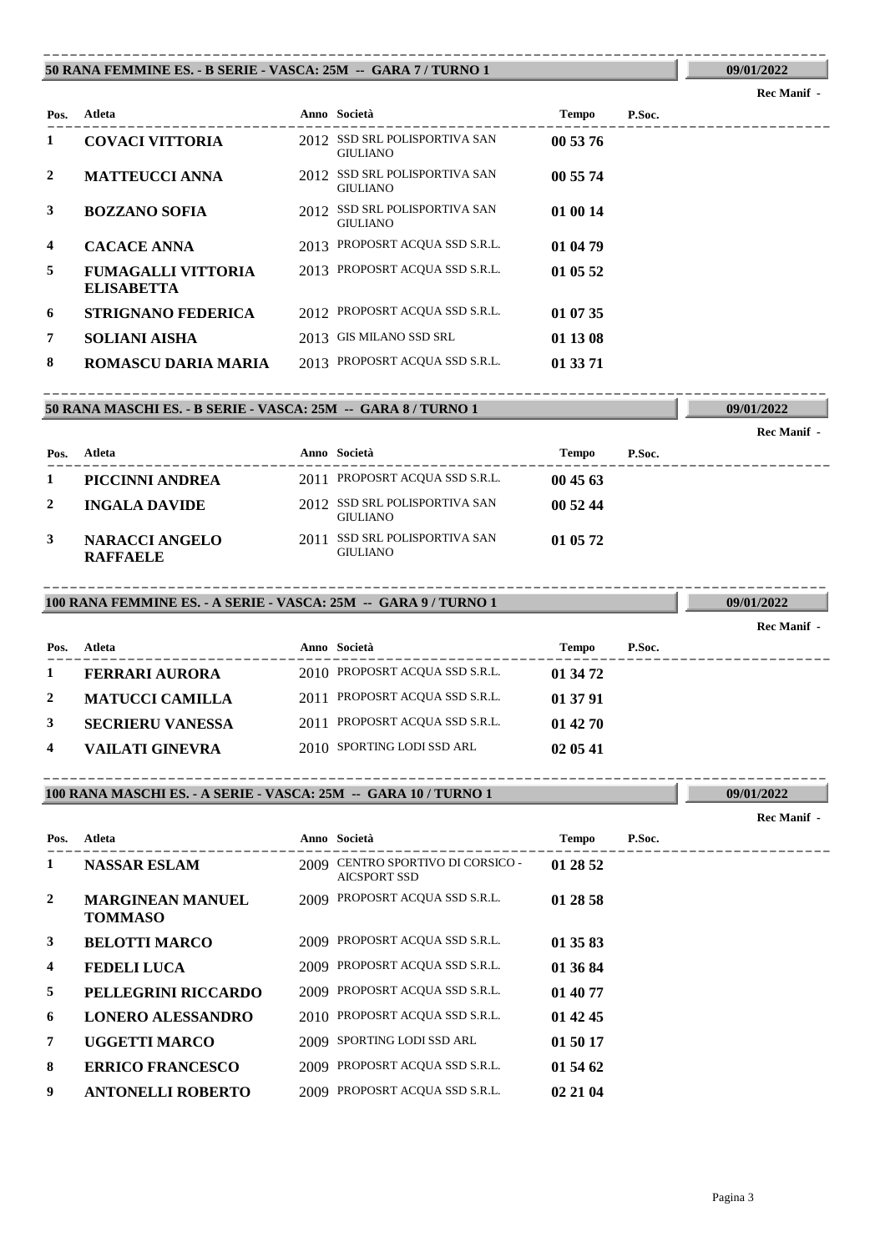### **50 RANA FEMMINE ES. - B SERIE - VASCA: 25M -- GARA 7 / TURNO 1** ----------------------------------------------------------------------------------------

#### **Rec Manif -**

**09/01/2022**

**09/01/2022**

**09/01/2022**

| Pos.           | Atleta                                         |      | Anno Società                                     | <b>Tempo</b> | P.Soc. |
|----------------|------------------------------------------------|------|--------------------------------------------------|--------------|--------|
| 1              | <b>COVACI VITTORIA</b>                         |      | 2012 SSD SRL POLISPORTIVA SAN<br><b>GIULIANO</b> | 00 53 76     |        |
| 2              | <b>MATTEUCCI ANNA</b>                          | 2012 | SSD SRL POLISPORTIVA SAN<br><b>GIULIANO</b>      | 00 55 74     |        |
| 3              | <b>BOZZANO SOFIA</b>                           |      | 2012 SSD SRL POLISPORTIVA SAN<br><b>GIULIANO</b> | 01 00 14     |        |
| $\overline{4}$ | <b>CACACE ANNA</b>                             |      | 2013 PROPOSRT ACQUA SSD S.R.L.                   | 01 04 79     |        |
| 5              | <b>FUMAGALLI VITTORIA</b><br><b>ELISABETTA</b> |      | 2013 PROPOSRT ACQUA SSD S.R.L.                   | 01 05 52     |        |
| 6              | <b>STRIGNANO FEDERICA</b>                      |      | 2012 PROPOSRT ACQUA SSD S.R.L.                   | 01 07 35     |        |
| $\overline{7}$ | <b>SOLIANI AISHA</b>                           |      | 2013 GIS MILANO SSD SRL                          | 01 13 08     |        |
| 8              | ROMASCU DARIA MARIA                            |      | 2013 PROPOSRT ACQUA SSD S.R.L.                   | 01 33 71     |        |

# **50 RANA MASCHI ES. - B SERIE - VASCA: 25M -- GARA 8 / TURNO 1** ----------------------------------------------------------------------------------------

|      |                                          |      |                                                  |          |        | Rec Manif - |
|------|------------------------------------------|------|--------------------------------------------------|----------|--------|-------------|
| Pos. | Atleta                                   |      | Anno Società                                     | Tempo    | P.Soc. |             |
|      | PICCINNI ANDREA                          |      | 2011 PROPOSRT ACQUA SSD S.R.L.                   | 004563   |        |             |
|      | <b>INGALA DAVIDE</b>                     |      | 2012 SSD SRL POLISPORTIVA SAN<br><b>GIULIANO</b> | 005244   |        |             |
| 3    | <b>NARACCI ANGELO</b><br><b>RAFFAELE</b> | 2011 | SSD SRL POLISPORTIVA SAN<br><b>GIULIANO</b>      | 01 05 72 |        |             |

# **100 RANA FEMMINE ES. - A SERIE - VASCA: 25M -- GARA 9 / TURNO 1** ----------------------------------------------------------------------------------------

|              |                         |                                |              |        | <b>Rec Manif</b> - |
|--------------|-------------------------|--------------------------------|--------------|--------|--------------------|
| Pos.         | Atleta                  | <b>Anno Società</b>            | <b>Tempo</b> | P.Soc. |                    |
|              | <b>FERRARI AURORA</b>   | 2010 PROPOSRT ACQUA SSD S.R.L. | 01 34 72     |        |                    |
| <sup>2</sup> | <b>MATUCCI CAMILLA</b>  | 2011 PROPOSRT ACQUA SSD S.R.L. | 01 37 91     |        |                    |
| 3            | <b>SECRIERU VANESSA</b> | 2011 PROPOSRT ACQUA SSD S.R.L. | 01 42 70     |        |                    |
| 4            | VAILATI GINEVRA         | 2010 SPORTING LODI SSD ARL     | 02 05 41     |        |                    |

## **100 RANA MASCHI ES. - A SERIE - VASCA: 25M -- GARA 10 / TURNO 1** ----------------------------------------------------------------------------------------

# ---------------------------------------------------------------------------------------- **Atleta Anno Società Tempo P.Soc. Pos.** 1 **NASSAR ESLAM** 2009 **CENTRO SPORTIVO DI CORSICO** - **01 28 52** AICSPORT SSD **MARGINEAN MANUEL** 2009 **PROPOSRT ACQUA SSD S.R.L. 01 28 58 TOMMASO 3 BELOTTI MARCO** 2009 PROPOSRT ACQUA SSD S.R.L. **01 35 83 4 FEDELI LUCA** 2009 PROPOSRT ACQUA SSD S.R.L. **01 36 84 5 PELLEGRINI RICCARDO** 2009 PROPOSRT ACQUA SSD S.R.L. **01 40 77 6 LONERO ALESSANDRO** 2010 PROPOSRT ACQUA SSD S.R.L. **01 42 45 7 UGGETTI MARCO** 2009 SPORTING LODI SSD ARL **01 50 17 8 ERRICO FRANCESCO** 2009 PROPOSRT ACQUA SSD S.R.L. **01 54 62 9 ANTONELLI ROBERTO** 2009 PROPOSRT ACQUA SSD S.R.L. **02 21 04**

**Rec Manif -** 

**09/01/2022**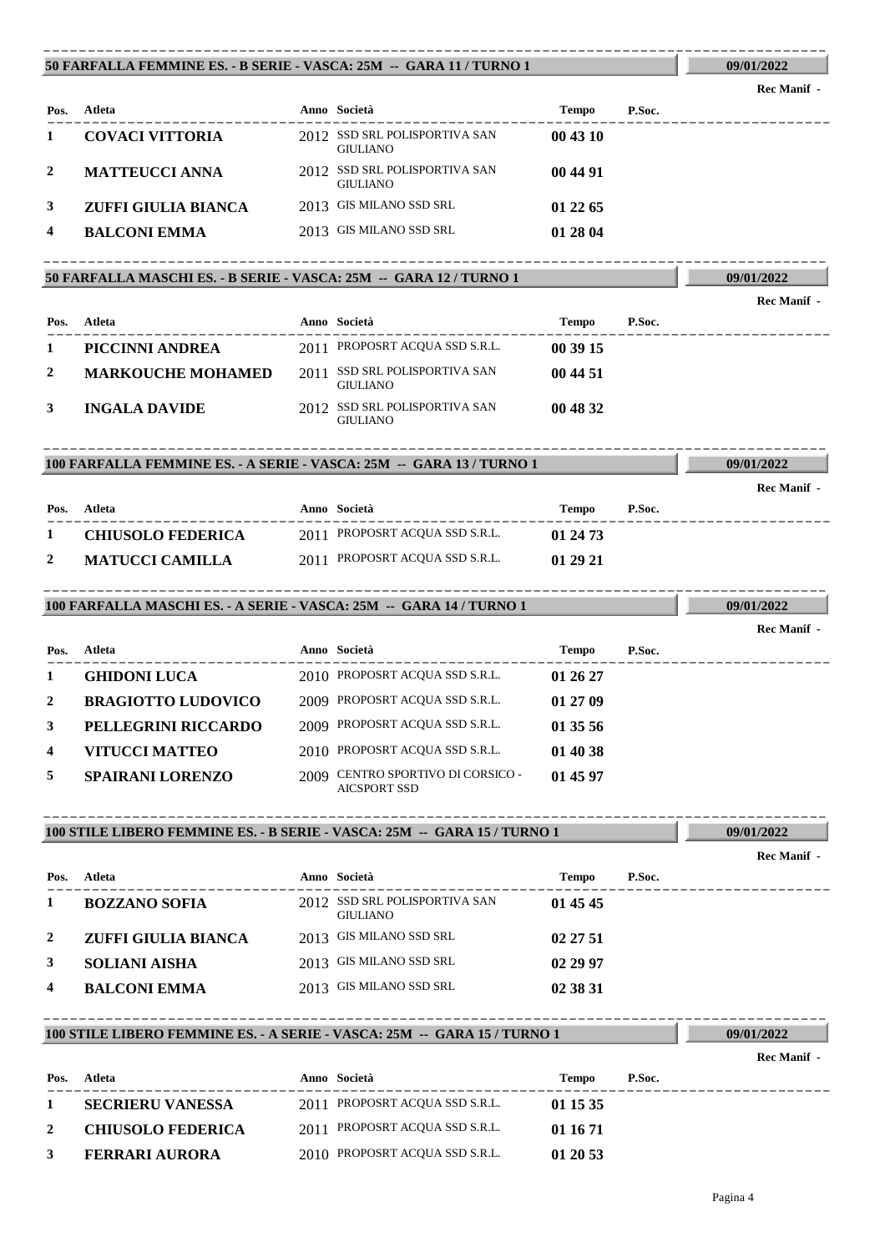#### **50 FARFALLA FEMMINE ES. - B SERIE - VASCA: 25M -- GARA 11 / TURNO 1** ----------------------------------------------------------------------------------------

**09/01/2022**

**09/01/2022**

**09/01/2022**

**09/01/2022**

**09/01/2022**

**09/01/2022**

**Rec Manif -** 

**Rec Manif -** 

| Pos. | Atleta                 | Anno Società                                     | <b>Tempo</b> | P.Soc. |
|------|------------------------|--------------------------------------------------|--------------|--------|
|      | <b>COVACI VITTORIA</b> | 2012 SSD SRL POLISPORTIVA SAN<br><b>GIULIANO</b> | 00 43 10     |        |
|      | <b>MATTEUCCI ANNA</b>  | 2012 SSD SRL POLISPORTIVA SAN<br><b>GIULIANO</b> | 00 44 91     |        |
| 3    | ZUFFI GIULIA BIANCA    | 2013 GIS MILANO SSD SRL                          | 01 22 65     |        |
| 4    | <b>BALCONI EMMA</b>    | 2013 GIS MILANO SSD SRL                          | 01 28 04     |        |

# **50 FARFALLA MASCHI ES. - B SERIE - VASCA: 25M -- GARA 12 / TURNO 1** ----------------------------------------------------------------------------------------

| Pos. | Atleta                   | Anno Società                                     | <b>Tempo</b> | P.Soc. |
|------|--------------------------|--------------------------------------------------|--------------|--------|
|      | PICCINNI ANDREA          | 2011 PROPOSRT ACQUA SSD S.R.L.                   | 00 39 15     |        |
| 2    | <b>MARKOUCHE MOHAMED</b> | 2011 SSD SRL POLISPORTIVA SAN<br><b>GIULIANO</b> | 00 44 51     |        |
| 3    | <b>INGALA DAVIDE</b>     | 2012 SSD SRL POLISPORTIVA SAN<br><b>GIULIANO</b> | 00 48 32     |        |

## **100 FARFALLA FEMMINE ES. - A SERIE - VASCA: 25M -- GARA 13 / TURNO 1** ----------------------------------------------------------------------------------------

|                          |                                |          |        | Rec Manif - |
|--------------------------|--------------------------------|----------|--------|-------------|
| Pos. Atleta              | Anno Società                   | Tempo    | P.Soc. |             |
| <b>CHIUSOLO FEDERICA</b> | 2011 PROPOSRT ACQUA SSD S.R.L. | 01 24 73 |        |             |
| <b>MATUCCI CAMILLA</b>   | 2011 PROPOSRT ACQUA SSD S.R.L. | 01 29 21 |        |             |

#### **100 FARFALLA MASCHI ES. - A SERIE - VASCA: 25M -- GARA 14 / TURNO 1** ----------------------------------------------------------------------------------------

---------------------------------------------------------------------------------------- **Atleta Anno Società Tempo P.Soc. Pos. Rec Manif - 1 GHIDONI LUCA** 2010 PROPOSRT ACQUA SSD S.R.L. **01 26 27 2 BRAGIOTTO LUDOVICO** 2009 PROPOSRT ACQUA SSD S.R.L. **01 27 09 3 PELLEGRINI RICCARDO** 2009 PROPOSRT ACQUA SSD S.R.L. **01 35 56 4 VITUCCI MATTEO** 2010 PROPOSRT ACQUA SSD S.R.L. **01 40 38 5 SPAIRANI LORENZO** 2009 **CENTRO SPORTIVO DI CORSICO** - **01 45 97** AICSPORT SSD

# **100 STILE LIBERO FEMMINE ES. - B SERIE - VASCA: 25M -- GARA 15 / TURNO 1** ----------------------------------------------------------------------------------------

|      |                      |                                                  |          |        | Rec Manif - |
|------|----------------------|--------------------------------------------------|----------|--------|-------------|
| Pos. | Atleta               | Anno Società                                     | Tempo    | P.Soc. |             |
|      | <b>BOZZANO SOFIA</b> | 2012 SSD SRL POLISPORTIVA SAN<br><b>GIULIANO</b> | 01 45 45 |        |             |
| 2    | ZUFFI GIULIA BIANCA  | 2013 GIS MILANO SSD SRL                          | 02 27 51 |        |             |
| 3    | <b>SOLIANI AISHA</b> | 2013 GIS MILANO SSD SRL                          | 02 29 97 |        |             |
| 4    | <b>BALCONI EMMA</b>  | 2013 GIS MILANO SSD SRL                          | 02 38 31 |        |             |

## **100 STILE LIBERO FEMMINE ES. - A SERIE - VASCA: 25M -- GARA 15 / TURNO 1** ----------------------------------------------------------------------------------------

**Pos.**

---------------------------------------------------------------------------------------- **Atleta Anno Società Tempo P.Soc. Rec Manif - 1 SECRIERU VANESSA** 2011 PROPOSRT ACQUA SSD S.R.L. **01 15 35 2 CHIUSOLO FEDERICA** 2011 PROPOSRT ACQUA SSD S.R.L. **01 16 71 3 FERRARI AURORA** 2010 PROPOSRT ACQUA SSD S.R.L. **01 20 53**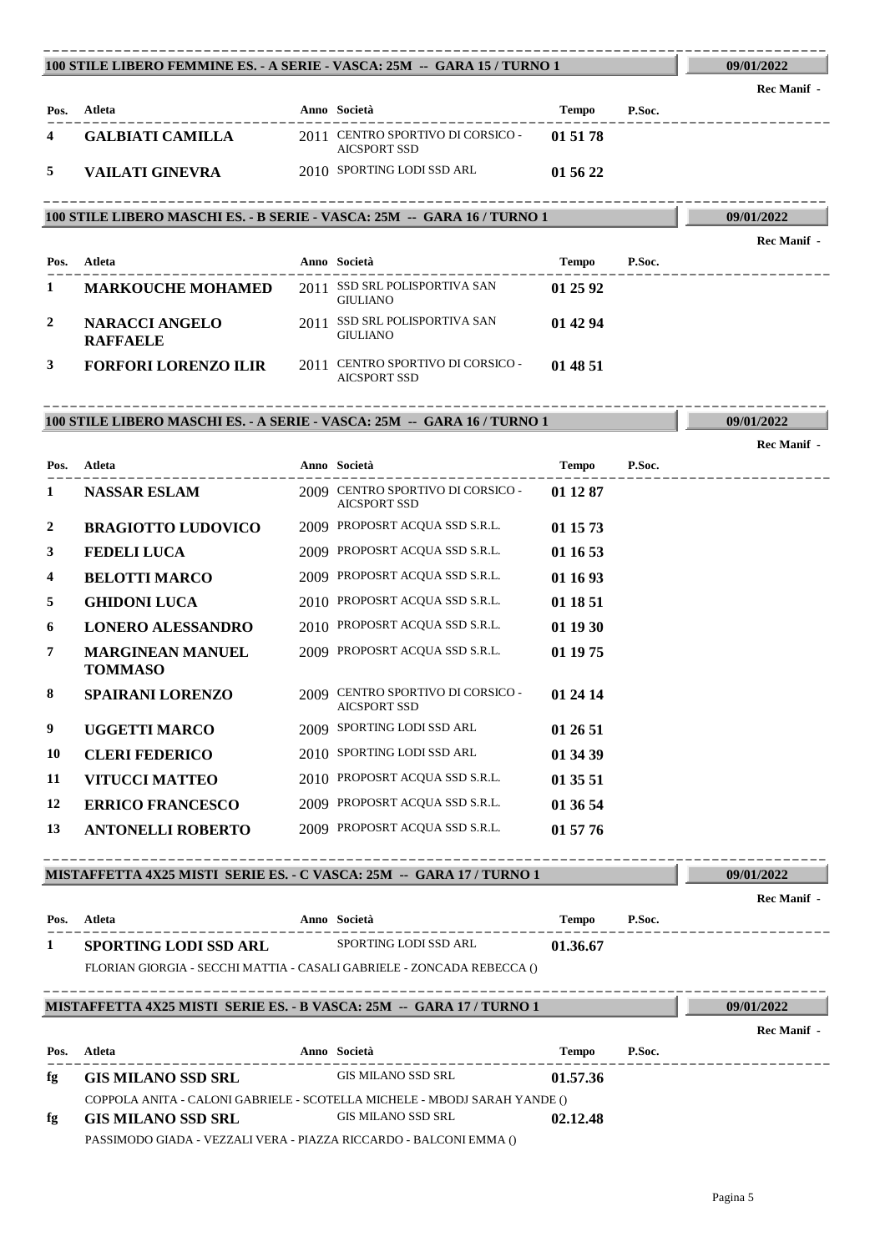| 100 STILE LIBERO FEMMINE ES. - A SERIE - VASCA: 25M -- GARA 15 / TURNO 1           |                                                                                                 |  |                                                                                                 |              |        | 09/01/2022         |  |
|------------------------------------------------------------------------------------|-------------------------------------------------------------------------------------------------|--|-------------------------------------------------------------------------------------------------|--------------|--------|--------------------|--|
|                                                                                    |                                                                                                 |  |                                                                                                 |              |        | <b>Rec Manif -</b> |  |
|                                                                                    | Pos. Atleta                                                                                     |  | Anno Società                                                                                    | Tempo P.Soc. |        |                    |  |
| 4                                                                                  | <b>GALBIATI CAMILLA</b>                                                                         |  | 2011 CENTRO SPORTIVO DI CORSICO -<br><b>AICSPORT SSD</b>                                        | 01 51 78     |        |                    |  |
| 5                                                                                  | <b>VAILATI GINEVRA</b>                                                                          |  | 2010 SPORTING LODI SSD ARL                                                                      | 01 56 22     |        |                    |  |
| 100 STILE LIBERO MASCHI ES. - B SERIE - VASCA: 25M -- GARA 16 / TURNO 1            | 09/01/2022                                                                                      |  |                                                                                                 |              |        |                    |  |
|                                                                                    |                                                                                                 |  |                                                                                                 |              |        | <b>Rec Manif</b> - |  |
|                                                                                    | Pos. Atleta                                                                                     |  | Anno Società                                                                                    | Tempo        | P.Soc. |                    |  |
| 1                                                                                  | <b>MARKOUCHE MOHAMED</b>                                                                        |  | 2011 SSD SRL POLISPORTIVA SAN<br><b>GIULIANO</b>                                                | 01 25 92     |        |                    |  |
| 2                                                                                  | <b>NARACCI ANGELO</b><br><b>RAFFAELE</b>                                                        |  | 2011 SSD SRL POLISPORTIVA SAN<br><b>GIULIANO</b>                                                | 01 42 94     |        |                    |  |
| 3                                                                                  | <b>FORFORI LORENZO ILIR</b>                                                                     |  | 2011 CENTRO SPORTIVO DI CORSICO -<br><b>AICSPORT SSD</b>                                        | 01 48 51     |        |                    |  |
|                                                                                    | 100 STILE LIBERO MASCHI ES. - A SERIE - VASCA: 25M -- GARA 16 / TURNO 1                         |  |                                                                                                 |              |        | 09/01/2022         |  |
|                                                                                    |                                                                                                 |  |                                                                                                 |              |        | Rec Manif -        |  |
|                                                                                    | Pos. Atleta<br>---------------------                                                            |  | Anno Società                                                                                    | Tempo P.Soc. |        |                    |  |
| 1                                                                                  | <b>NASSAR ESLAM</b>                                                                             |  | 2009 CENTRO SPORTIVO DI CORSICO -<br><b>AICSPORT SSD</b>                                        | 01 12 87     |        |                    |  |
| 2                                                                                  | <b>BRAGIOTTO LUDOVICO</b>                                                                       |  | 2009 PROPOSRT ACQUA SSD S.R.L.                                                                  | 01 15 73     |        |                    |  |
| 3                                                                                  | <b>FEDELI LUCA</b>                                                                              |  | 2009 PROPOSRT ACQUA SSD S.R.L.                                                                  | 01 16 53     |        |                    |  |
| 4                                                                                  | <b>BELOTTI MARCO</b>                                                                            |  | 2009 PROPOSRT ACQUA SSD S.R.L.                                                                  | 01 16 93     |        |                    |  |
| 5                                                                                  | <b>GHIDONI LUCA</b>                                                                             |  | 2010 PROPOSRT ACQUA SSD S.R.L.                                                                  | 01 18 51     |        |                    |  |
| 6                                                                                  | <b>LONERO ALESSANDRO</b>                                                                        |  | 2010 PROPOSRT ACQUA SSD S.R.L.                                                                  | 01 19 30     |        |                    |  |
| 7                                                                                  | <b>MARGINEAN MANUEL</b><br><b>TOMMASO</b>                                                       |  | 2009 PROPOSRT ACQUA SSD S.R.L.                                                                  | 01 19 75     |        |                    |  |
| 8                                                                                  | <b>SPAIRANI LORENZO</b>                                                                         |  | 2009 CENTRO SPORTIVO DI CORSICO -<br>AICSPORT SSD                                               | 01 24 14     |        |                    |  |
| 9                                                                                  | <b>UGGETTI MARCO</b>                                                                            |  | 2009 SPORTING LODI SSD ARL                                                                      | 01 26 51     |        |                    |  |
| 10                                                                                 | <b>CLERI FEDERICO</b>                                                                           |  | 2010 SPORTING LODI SSD ARL                                                                      | 01 34 39     |        |                    |  |
| 11                                                                                 | <b>VITUCCI MATTEO</b>                                                                           |  | 2010 PROPOSRT ACQUA SSD S.R.L.                                                                  | 01 35 51     |        |                    |  |
| 12                                                                                 | <b>ERRICO FRANCESCO</b>                                                                         |  | 2009 PROPOSRT ACQUA SSD S.R.L.                                                                  | 01 36 54     |        |                    |  |
| 13                                                                                 | <b>ANTONELLI ROBERTO</b>                                                                        |  | 2009 PROPOSRT ACQUA SSD S.R.L.                                                                  | 01 57 76     |        |                    |  |
|                                                                                    | MISTAFFETTA 4X25 MISTI SERIE ES. - C VASCA: 25M -- GARA 17 / TURNO 1                            |  |                                                                                                 |              |        | 09/01/2022         |  |
|                                                                                    | Pos. Atleta                                                                                     |  | Anno Società                                                                                    | Tempo        | P.Soc. | <b>Rec Manif -</b> |  |
| 1                                                                                  | SPORTING LODI SSD ARL                                                                           |  | SPORTING LODI SSD ARL                                                                           | 01.36.67     |        |                    |  |
|                                                                                    | FLORIAN GIORGIA - SECCHI MATTIA - CASALI GABRIELE - ZONCADA REBECCA ()                          |  |                                                                                                 |              |        |                    |  |
| MISTAFFETTA 4X25 MISTI SERIE ES. - B VASCA: 25M -- GARA 17 / TURNO 1<br>09/01/2022 |                                                                                                 |  |                                                                                                 |              |        |                    |  |
|                                                                                    |                                                                                                 |  |                                                                                                 |              |        | <b>Rec Manif</b> - |  |
| Pos.                                                                               | Atleta                                                                                          |  | Anno Società<br>-----------                                                                     | Tempo        | P.Soc. |                    |  |
| fg                                                                                 | <b>GIS MILANO SSD SRL</b>                                                                       |  | GIS MILANO SSD SRL                                                                              | 01.57.36     |        |                    |  |
| fg                                                                                 | <b>GIS MILANO SSD SRL</b><br>PASSIMODO GIADA - VEZZALI VERA - PIAZZA RICCARDO - BALCONI EMMA () |  | COPPOLA ANITA - CALONI GABRIELE - SCOTELLA MICHELE - MBODJ SARAH YANDE ()<br>GIS MILANO SSD SRL | 02.12.48     |        |                    |  |